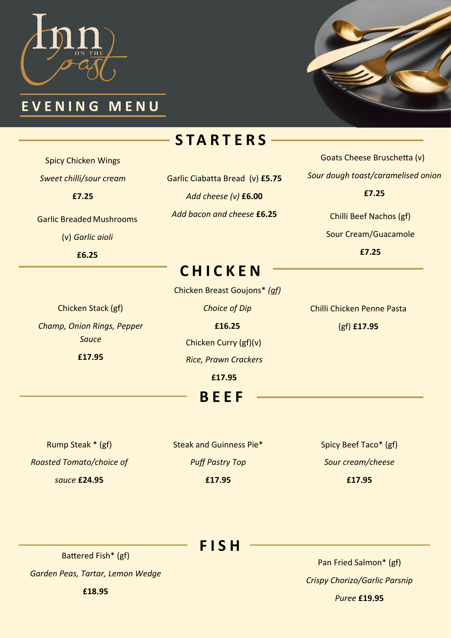

### **E V E N I N G M E N U**



# **S T A R T E R S**

Spicy Chicken Wings *Sweet chilli/sour cream* **£7.25**

Garlic Breaded Mushrooms (v) *Garlic aioli* 

**£6.25**

Garlic Ciabatta Bread (v) **£5.75** *Add cheese (v)* **£6.00** *Add bacon and cheese* **£6.25**

Goats Cheese Bruschetta (v) *Sour dough toast/caramelised onion* **£7.25**

> Chilli Beef Nachos (gf) Sour Cream/Guacamole **£7.25**

**C H I C K E N**

Chicken Breast Goujons\* *(gf)*

Chicken Stack (gf) *Champ, Onion Rings, Pepper Sauce* **£17.95**

*Choice of Dip*  **£16.25** Chicken Curry (gf)(v) *Rice, Prawn Crackers* **£17.95**

**B E E F**

Chilli Chicken Penne Pasta (gf) **£17.95**

Rump Steak \* (gf) *Roasted Tomato/choice of sauce* **£24.95**

Steak and Guinness Pie\* *Puff Pastry Top* **£17.95**

Spicy Beef Taco\* (gf) *Sour cream/cheese* **£17.95**

## **F I S H**

Battered Fish\* (gf)

*Garden Peas, Tartar, Lemon Wedge*

**£18.95**

Pan Fried Salmon\* (gf) *Crispy Chorizo/Garlic Parsnip* 

*Puree* **£19.95**